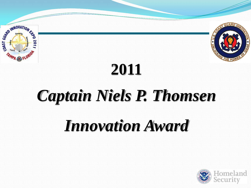



# **2011**

# *Captain Niels P. Thomsen*

# *Innovation Award*

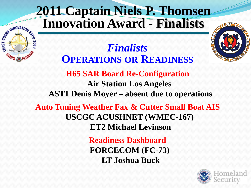### **2011 Captain Niels P. Thomsen Innovation Award - Finalists**

**SEARCH MANUAL RESIDENCE** 



*Finalists* **OPERATIONS OR READINESS H65 SAR Board Re-Configuration Air Station Los Angeles AST1 Denis Moyer – absent due to operations Auto Tuning Weather Fax & Cutter Small Boat AIS USCGC ACUSHNET (WMEC-167) ET2 Michael Levinson Readiness Dashboard**

> **FORCECOM (FC-73) LT Joshua Buck**

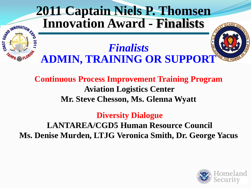# **2011 Captain Niels P. Thomsen Innovation Award - Finalists SEARCH MADVATION**

#### *Finalists*  **ADMIN, TRAINING OR SUPPORT**

**Continuous Process Improvement Training Program Aviation Logistics Center Mr. Steve Chesson, Ms. Glenna Wyatt**

**Diversity Dialogue**

**LANTAREA/CGD5 Human Resource Council Ms. Denise Murden, LTJG Veronica Smith, Dr. George Yacus**

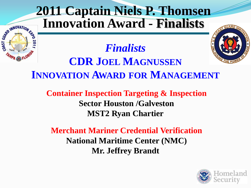### **2011 Captain Niels P. Thomsen Innovation Award - Finalists**



# **SARRO INNOVATION** *Finalists*  **CDR JOEL MAGNUSSEN INNOVATION AWARD FOR MANAGEMENT**

**Container Inspection Targeting & Inspection Sector Houston /Galveston MST2 Ryan Chartier**

**Merchant Mariner Credential Verification National Maritime Center (NMC) Mr. Jeffrey Brandt**

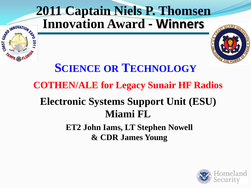

#### **SCIENCE OR TECHNOLOGY COTHEN/ALE for Legacy Sunair HF Radios Electronic Systems Support Unit (ESU) Miami FL ET2 John Iams, LT Stephen Nowell & CDR James Young**

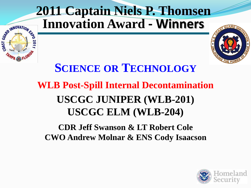# **2011 Captain Niels P. Thomsen Innovation Award - Winners SASA DINNOVATION**



### **SCIENCE OR TECHNOLOGY WLB Post-Spill Internal Decontamination USCGC JUNIPER (WLB-201) USCGC ELM (WLB-204)**

#### **CDR Jeff Swanson & LT Robert Cole CWO Andrew Molnar & ENS Cody Isaacson**

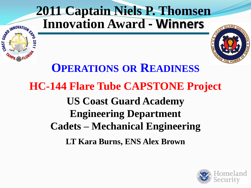

#### **OPERATIONS OR READINESS HC-144 Flare Tube CAPSTONE Project US Coast Guard Academy Engineering Department Cadets – Mechanical Engineering LT Kara Burns, ENS Alex Brown**

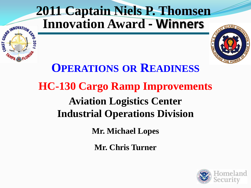# **2011 Captain Niels P. Thomsen Innovation Award - Winners SEARCH MADVATION**



## **OPERATIONS OR READINESS HC-130 Cargo Ramp Improvements Aviation Logistics Center Industrial Operations Division**

**Mr. Michael Lopes**

**Mr. Chris Turner**

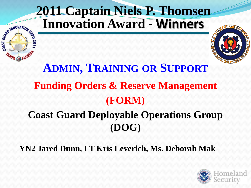

### **ADMIN, TRAINING OR SUPPORT Funding Orders & Reserve Management (FORM) Coast Guard Deployable Operations Group (DOG)**

**YN2 Jared Dunn, LT Kris Leverich, Ms. Deborah Mak**

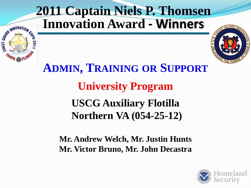## **2011 Captain Niels P. Thomsen Innovation Award - Winners**

**SASE OF THE CASE OF THE CASE OF THE CASE OF THE CASE OF THE CASE OF THE CASE OF THE CASE OF THE CASE OF THE CASE** 



## **ADMIN, TRAINING OR SUPPORT University Program USCG Auxiliary Flotilla Northern VA (054-25-12)**

**Mr. Andrew Welch, Mr. Justin Hunts Mr. Victor Bruno, Mr. John Decastra**

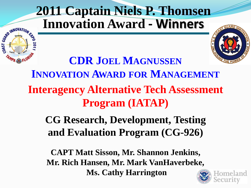## **2011 Captain Niels P. Thomsen Innovation Award - Winners**

SEA THROVATION



**CDR JOEL MAGNUSSEN INNOVATION AWARD FOR MANAGEMENT Interagency Alternative Tech Assessment Program (IATAP)**

**CG Research, Development, Testing and Evaluation Program (CG-926)**

**CAPT Matt Sisson, Mr. Shannon Jenkins, Mr. Rich Hansen, Mr. Mark VanHaverbeke, Ms. Cathy Harrington**

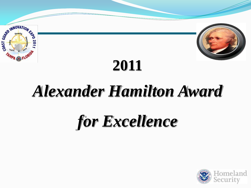



# **2011**

# *Alexander Hamilton Award*

# *for Excellence*

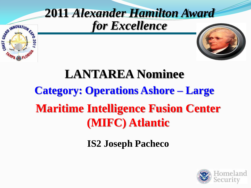

## **LANTAREA Nominee Category: Operations Ashore – Large Maritime Intelligence Fusion Center (MIFC) Atlantic**

**IS2 Joseph Pacheco**

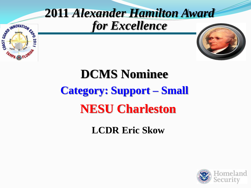

# **DCMS Nominee Category: Support – Small NESU Charleston**

**LCDR Eric Skow**

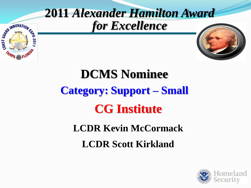

# **DCMS Nominee Category: Support – Small CG Institute**

**LCDR Kevin McCormack LCDR Scott Kirkland**

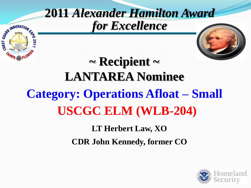## **2011** *Alexander Hamilton Award for Excellence*



## **~ Recipient ~ LANTAREA Nominee**

SEASO IMNOVATION

# **Category: Operations Afloat – Small USCGC ELM (WLB-204)**

#### **LT Herbert Law, XO CDR John Kennedy, former CO**

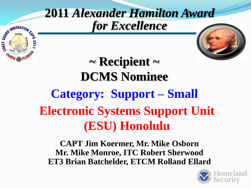#### **2011** *Alexander Hamilton Award for Excellence*

SEA BY MINOVATION



## **~ Recipient ~ DCMS Nominee Category: Support – Small Electronic Systems Support Unit (ESU) Honolulu**

#### **CAPT Jim Koermer, Mr. Mike Osborn Mr. Mike Monroe, ITC Robert Sherwood ET3 Brian Batchelder, ETCM Rolland Ellard**